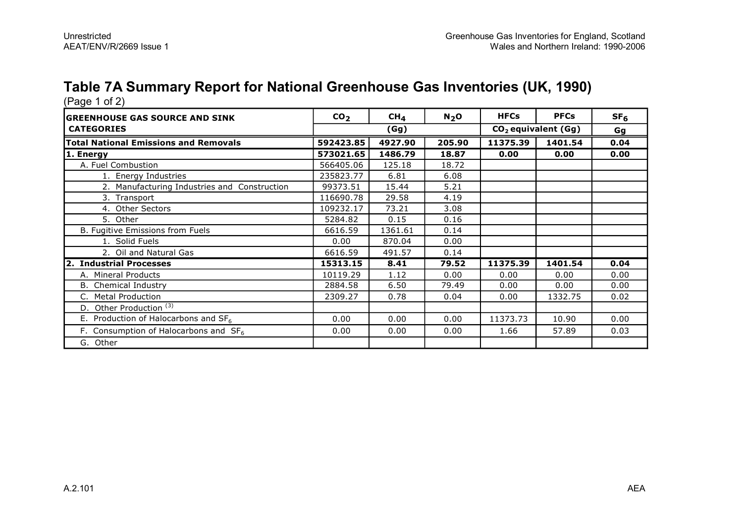# **Table 7A Summary Report for National Greenhouse Gas Inventories (UK, 1990)**

| (Page 1 of 2)                                |                 |                 |         |             |                       |                 |
|----------------------------------------------|-----------------|-----------------|---------|-------------|-----------------------|-----------------|
| <b>GREENHOUSE GAS SOURCE AND SINK</b>        | CO <sub>2</sub> | CH <sub>4</sub> | $N_2$ O | <b>HFCs</b> | <b>PFCs</b>           | SF <sub>6</sub> |
| <b>CATEGORIES</b>                            |                 | (Gg)            |         |             | $CO2$ equivalent (Gg) | Gg              |
| <b>Total National Emissions and Removals</b> | 592423.85       | 4927.90         | 205.90  | 11375.39    | 1401.54               | 0.04            |
| 1. Energy                                    | 573021.65       | 1486.79         | 18.87   | 0.00        | 0.00                  | 0.00            |
| A. Fuel Combustion                           | 566405.06       | 125.18          | 18.72   |             |                       |                 |
| 1. Energy Industries                         | 235823.77       | 6.81            | 6.08    |             |                       |                 |
| 2. Manufacturing Industries and Construction | 99373.51        | 15.44           | 5.21    |             |                       |                 |
| 3. Transport                                 | 116690.78       | 29.58           | 4.19    |             |                       |                 |
| 4. Other Sectors                             | 109232.17       | 73.21           | 3.08    |             |                       |                 |
| 5. Other                                     | 5284.82         | 0.15            | 0.16    |             |                       |                 |
| B. Fugitive Emissions from Fuels             | 6616.59         | 1361.61         | 0.14    |             |                       |                 |
| 1. Solid Fuels                               | 0.00            | 870.04          | 0.00    |             |                       |                 |
| 2. Oil and Natural Gas                       | 6616.59         | 491.57          | 0.14    |             |                       |                 |
| 2. Industrial Processes                      | 15313.15        | 8.41            | 79.52   | 11375.39    | 1401.54               | 0.04            |
| A. Mineral Products                          | 10119.29        | 1.12            | 0.00    | 0.00        | 0.00                  | 0.00            |
| <b>B.</b> Chemical Industry                  | 2884.58         | 6.50            | 79.49   | 0.00        | 0.00                  | 0.00            |
| <b>Metal Production</b><br>C.                | 2309.27         | 0.78            | 0.04    | 0.00        | 1332.75               | 0.02            |
| Other Production <sup>(3)</sup><br>D.        |                 |                 |         |             |                       |                 |
| E. Production of Halocarbons and $SF6$       | 0.00            | 0.00            | 0.00    | 11373.73    | 10.90                 | 0.00            |
| F. Consumption of Halocarbons and $SF6$      | 0.00            | 0.00            | 0.00    | 1.66        | 57.89                 | 0.03            |
| G. Other                                     |                 |                 |         |             |                       |                 |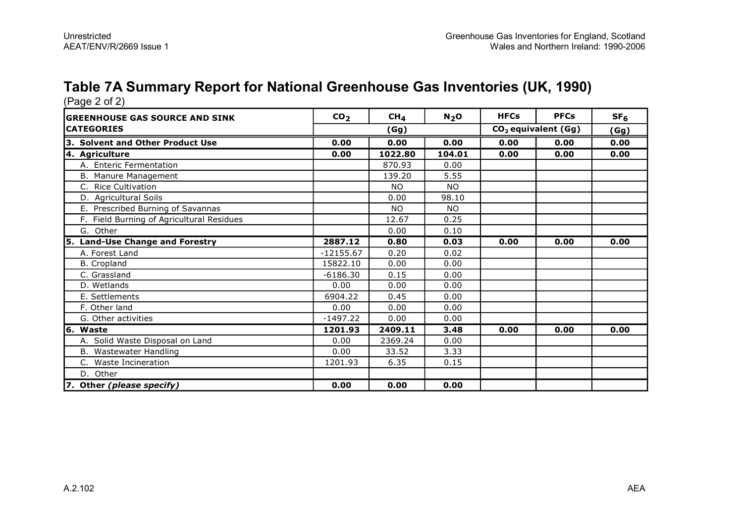# **Table 7A Summary Report for National Greenhouse Gas Inventories (UK, 1990)**

| (Page 2 of 2)                             |                 |                 |           |             |                                 |                 |
|-------------------------------------------|-----------------|-----------------|-----------|-------------|---------------------------------|-----------------|
| <b>GREENHOUSE GAS SOURCE AND SINK</b>     | CO <sub>2</sub> | CH <sub>4</sub> | $N_2$ O   | <b>HFCs</b> | <b>PFCs</b>                     | SF <sub>6</sub> |
| <b>CATEGORIES</b>                         |                 | (Gg)            |           |             | CO <sub>2</sub> equivalent (Gg) |                 |
| 3. Solvent and Other Product Use          | 0.00            | 0.00            | 0.00      | 0.00        | 0.00                            | 0.00            |
| 4. Agriculture                            | 0.00            | 1022.80         | 104.01    | 0.00        | 0.00                            | 0.00            |
| A. Enteric Fermentation                   |                 | 870.93          | 0.00      |             |                                 |                 |
| B. Manure Management                      |                 | 139.20          | 5.55      |             |                                 |                 |
| <b>Rice Cultivation</b><br>C.             |                 | <b>NO</b>       | <b>NO</b> |             |                                 |                 |
| D. Agricultural Soils                     |                 | 0.00            | 98.10     |             |                                 |                 |
| E. Prescribed Burning of Savannas         |                 | <b>NO</b>       | NO.       |             |                                 |                 |
| F. Field Burning of Agricultural Residues |                 | 12.67           | 0.25      |             |                                 |                 |
| G. Other                                  |                 | 0.00            | 0.10      |             |                                 |                 |
| 5. Land-Use Change and Forestry           | 2887.12         | 0.80            | 0.03      | 0.00        | 0.00                            | 0.00            |
| A. Forest Land                            | $-12155.67$     | 0.20            | 0.02      |             |                                 |                 |
| <b>B.</b> Cropland                        | 15822.10        | 0.00            | 0.00      |             |                                 |                 |
| C. Grassland                              | $-6186.30$      | 0.15            | 0.00      |             |                                 |                 |
| D. Wetlands                               | 0.00            | 0.00            | 0.00      |             |                                 |                 |
| E. Settlements                            | 6904.22         | 0.45            | 0.00      |             |                                 |                 |
| F. Other land                             | 0.00            | 0.00            | 0.00      |             |                                 |                 |
| G. Other activities                       | $-1497.22$      | 0.00            | 0.00      |             |                                 |                 |
| 6. Waste                                  | 1201.93         | 2409.11         | 3.48      | 0.00        | 0.00                            | 0.00            |
| A. Solid Waste Disposal on Land           | 0.00            | 2369.24         | 0.00      |             |                                 |                 |
| B. Wastewater Handling                    | 0.00            | 33.52           | 3.33      |             |                                 |                 |
| C. Waste Incineration                     | 1201.93         | 6.35            | 0.15      |             |                                 |                 |
| D. Other                                  |                 |                 |           |             |                                 |                 |
| 7. Other (please specify)                 | 0.00            | 0.00            | 0.00      |             |                                 |                 |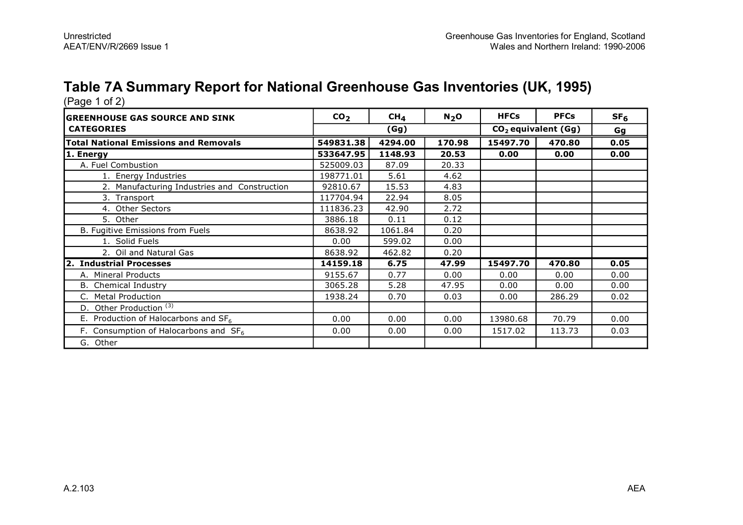# **Table 7A Summary Report for National Greenhouse Gas Inventories (UK, 1995)**

| $(Paye + O(Z))$                              |                 |                 |         |             |                       |                 |
|----------------------------------------------|-----------------|-----------------|---------|-------------|-----------------------|-----------------|
| <b>GREENHOUSE GAS SOURCE AND SINK</b>        | CO <sub>2</sub> | CH <sub>4</sub> | $N_2$ O | <b>HFCs</b> | <b>PFCs</b>           | SF <sub>6</sub> |
| <b>CATEGORIES</b>                            |                 | (Gg)            |         |             | $CO2$ equivalent (Gg) | Gg              |
| <b>Total National Emissions and Removals</b> | 549831.38       | 4294.00         | 170.98  | 15497.70    | 470.80                | 0.05            |
| 1. Energy                                    | 533647.95       | 1148.93         | 20.53   | 0.00        | 0.00                  | 0.00            |
| A. Fuel Combustion                           | 525009.03       | 87.09           | 20.33   |             |                       |                 |
| 1. Energy Industries                         | 198771.01       | 5.61            | 4.62    |             |                       |                 |
| 2. Manufacturing Industries and Construction | 92810.67        | 15.53           | 4.83    |             |                       |                 |
| 3. Transport                                 | 117704.94       | 22.94           | 8.05    |             |                       |                 |
| 4. Other Sectors                             | 111836.23       | 42.90           | 2.72    |             |                       |                 |
| 5. Other                                     | 3886.18         | 0.11            | 0.12    |             |                       |                 |
| B. Fugitive Emissions from Fuels             | 8638.92         | 1061.84         | 0.20    |             |                       |                 |
| 1. Solid Fuels                               | 0.00            | 599.02          | 0.00    |             |                       |                 |
| 2. Oil and Natural Gas                       | 8638.92         | 462.82          | 0.20    |             |                       |                 |
| 2. Industrial Processes                      | 14159.18        | 6.75            | 47.99   | 15497.70    | 470.80                | 0.05            |
| A. Mineral Products                          | 9155.67         | 0.77            | 0.00    | 0.00        | 0.00                  | 0.00            |
| <b>B.</b> Chemical Industry                  | 3065.28         | 5.28            | 47.95   | 0.00        | 0.00                  | 0.00            |
| C. Metal Production                          | 1938.24         | 0.70            | 0.03    | 0.00        | 286.29                | 0.02            |
| Other Production <sup>(3)</sup><br>D.        |                 |                 |         |             |                       |                 |
| E. Production of Halocarbons and $SF6$       | 0.00            | 0.00            | 0.00    | 13980.68    | 70.79                 | 0.00            |
| F. Consumption of Halocarbons and $SF6$      | 0.00            | 0.00            | 0.00    | 1517.02     | 113.73                | 0.03            |
| G. Other                                     |                 |                 |         |             |                       |                 |

(Page 1 of 2)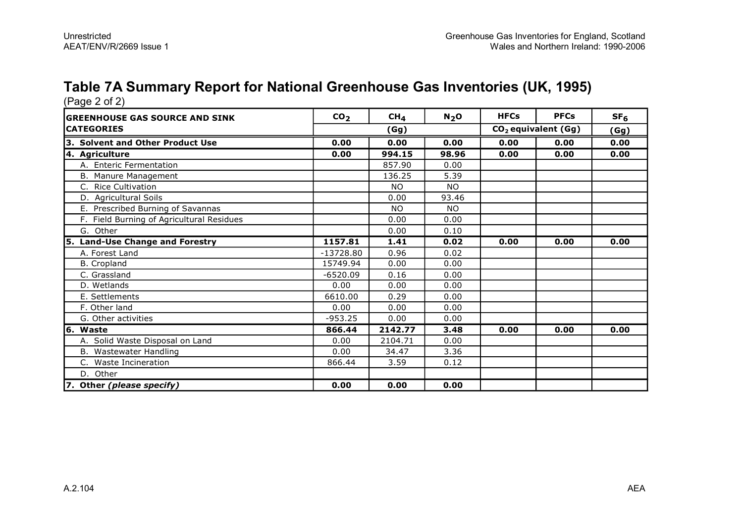# **Table 7A Summary Report for National Greenhouse Gas Inventories (UK, 1995)**

| (Page 2 of 2)                             |                 |                 |           |             |                                 |                 |
|-------------------------------------------|-----------------|-----------------|-----------|-------------|---------------------------------|-----------------|
| <b>GREENHOUSE GAS SOURCE AND SINK</b>     | CO <sub>2</sub> | CH <sub>4</sub> | $N_2$ O   | <b>HFCs</b> | <b>PFCs</b>                     | SF <sub>6</sub> |
| <b>CATEGORIES</b>                         |                 | (Gg)            |           |             | CO <sub>2</sub> equivalent (Gg) |                 |
| 3. Solvent and Other Product Use          | 0.00            | 0.00            | 0.00      | 0.00        | 0.00                            | 0.00            |
| 4. Agriculture                            | 0.00            | 994.15          | 98.96     | 0.00        | 0.00                            | 0.00            |
| A. Enteric Fermentation                   |                 | 857.90          | 0.00      |             |                                 |                 |
| B. Manure Management                      |                 | 136.25          | 5.39      |             |                                 |                 |
| <b>Rice Cultivation</b><br>C.             |                 | <b>NO</b>       | <b>NO</b> |             |                                 |                 |
| D. Agricultural Soils                     |                 | 0.00            | 93.46     |             |                                 |                 |
| E. Prescribed Burning of Savannas         |                 | <b>NO</b>       | NO.       |             |                                 |                 |
| F. Field Burning of Agricultural Residues |                 | 0.00            | 0.00      |             |                                 |                 |
| G. Other                                  |                 | 0.00            | 0.10      |             |                                 |                 |
| 5. Land-Use Change and Forestry           | 1157.81         | 1.41            | 0.02      | 0.00        | 0.00                            | 0.00            |
| A. Forest Land                            | $-13728.80$     | 0.96            | 0.02      |             |                                 |                 |
| <b>B.</b> Cropland                        | 15749.94        | 0.00            | 0.00      |             |                                 |                 |
| C. Grassland                              | $-6520.09$      | 0.16            | 0.00      |             |                                 |                 |
| D. Wetlands                               | 0.00            | 0.00            | 0.00      |             |                                 |                 |
| E. Settlements                            | 6610.00         | 0.29            | 0.00      |             |                                 |                 |
| F. Other land                             | 0.00            | 0.00            | 0.00      |             |                                 |                 |
| G. Other activities                       | $-953.25$       | 0.00            | 0.00      |             |                                 |                 |
| 6. Waste                                  | 866.44          | 2142.77         | 3.48      | 0.00        | 0.00                            | 0.00            |
| A. Solid Waste Disposal on Land           | 0.00            | 2104.71         | 0.00      |             |                                 |                 |
| B. Wastewater Handling                    | 0.00            | 34.47           | 3.36      |             |                                 |                 |
| C. Waste Incineration                     | 866.44          | 3.59            | 0.12      |             |                                 |                 |
| D. Other                                  |                 |                 |           |             |                                 |                 |
| 7. Other (please specify)                 | 0.00            | 0.00            | 0.00      |             |                                 |                 |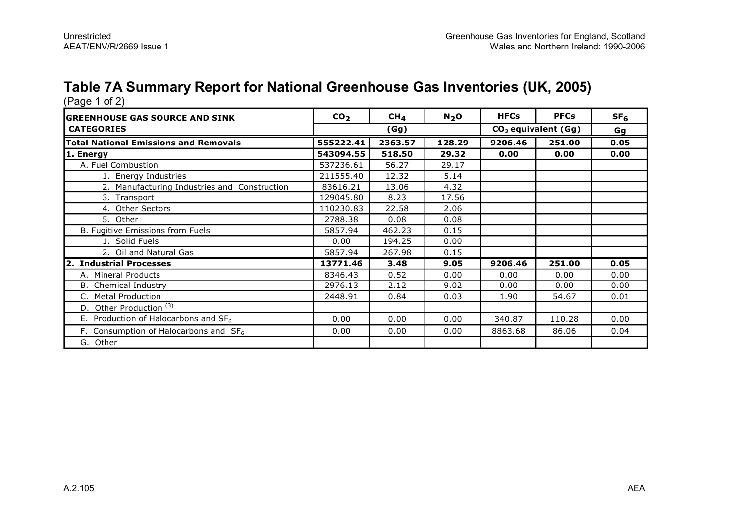# **Table 7A Summary Report for National Greenhouse Gas Inventories (UK, 2005)**

| (Page 1 of 2)                                    |                 |                 |         |             |                       |                 |
|--------------------------------------------------|-----------------|-----------------|---------|-------------|-----------------------|-----------------|
| <b>GREENHOUSE GAS SOURCE AND SINK</b>            | CO <sub>2</sub> | CH <sub>4</sub> | $N_2$ O | <b>HFCs</b> | <b>PFCs</b>           | SF <sub>6</sub> |
| <b>CATEGORIES</b>                                |                 | (Gg)            |         |             | $CO2$ equivalent (Gg) | Gg              |
| <b>Total National Emissions and Removals</b>     | 555222.41       | 2363.57         | 128.29  | 9206.46     | 251.00                | 0.05            |
| 1. Energy                                        | 543094.55       | 518.50          | 29.32   | 0.00        | 0.00                  | 0.00            |
| A. Fuel Combustion                               | 537236.61       | 56.27           | 29.17   |             |                       |                 |
| 1. Energy Industries                             | 211555.40       | 12.32           | 5.14    |             |                       |                 |
| 2. Manufacturing Industries and Construction     | 83616.21        | 13.06           | 4.32    |             |                       |                 |
| 3. Transport                                     | 129045.80       | 8.23            | 17.56   |             |                       |                 |
| 4. Other Sectors                                 | 110230.83       | 22.58           | 2.06    |             |                       |                 |
| 5. Other                                         | 2788.38         | 0.08            | 0.08    |             |                       |                 |
| B. Fugitive Emissions from Fuels                 | 5857.94         | 462.23          | 0.15    |             |                       |                 |
| 1. Solid Fuels                                   | 0.00            | 194.25          | 0.00    |             |                       |                 |
| 2. Oil and Natural Gas                           | 5857.94         | 267.98          | 0.15    |             |                       |                 |
| 2. Industrial Processes                          | 13771.46        | 3.48            | 9.05    | 9206.46     | 251.00                | 0.05            |
| A. Mineral Products                              | 8346.43         | 0.52            | 0.00    | 0.00        | 0.00                  | 0.00            |
| Chemical Industry<br>В.                          | 2976.13         | 2.12            | 9.02    | 0.00        | 0.00                  | 0.00            |
| <b>Metal Production</b><br>C.                    | 2448.91         | 0.84            | 0.03    | 1.90        | 54.67                 | 0.01            |
| Other Production <sup>(3)</sup><br>D.            |                 |                 |         |             |                       |                 |
| E. Production of Halocarbons and SF <sub>6</sub> | 0.00            | 0.00            | 0.00    | 340.87      | 110.28                | 0.00            |
| F. Consumption of Halocarbons and $SF6$          | 0.00            | 0.00            | 0.00    | 8863.68     | 86.06                 | 0.04            |
| G. Other                                         |                 |                 |         |             |                       |                 |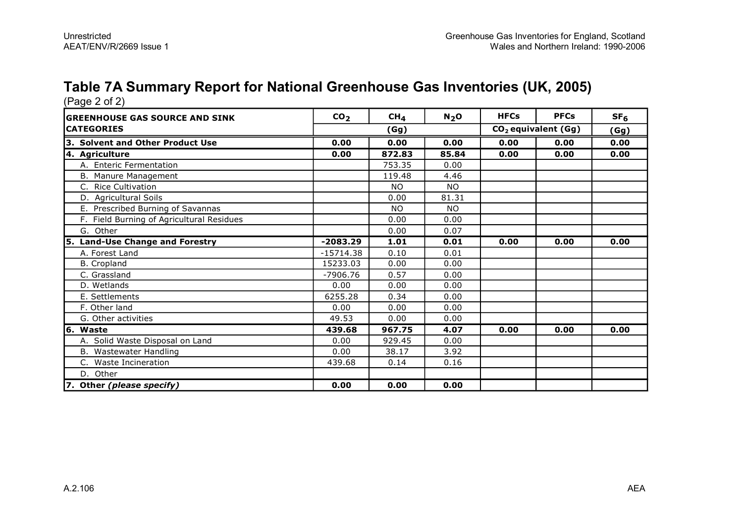# **Table 7A Summary Report for National Greenhouse Gas Inventories (UK, 2005)**

| (Page 2 of 2)                             |                 |                 |           |             |                                 |                 |
|-------------------------------------------|-----------------|-----------------|-----------|-------------|---------------------------------|-----------------|
| <b>GREENHOUSE GAS SOURCE AND SINK</b>     | CO <sub>2</sub> | CH <sub>4</sub> | $N_2$ O   | <b>HFCs</b> | <b>PFCs</b>                     | SF <sub>6</sub> |
| <b>CATEGORIES</b>                         |                 | (Gg)            |           |             | CO <sub>2</sub> equivalent (Gg) |                 |
| 3. Solvent and Other Product Use          | 0.00            | 0.00            | 0.00      | 0.00        | 0.00                            | 0.00            |
| 4. Agriculture                            | 0.00            | 872.83          | 85.84     | 0.00        | 0.00                            | 0.00            |
| A. Enteric Fermentation                   |                 | 753.35          | 0.00      |             |                                 |                 |
| B. Manure Management                      |                 | 119.48          | 4.46      |             |                                 |                 |
| <b>Rice Cultivation</b><br>C.             |                 | <b>NO</b>       | <b>NO</b> |             |                                 |                 |
| D. Agricultural Soils                     |                 | 0.00            | 81.31     |             |                                 |                 |
| E. Prescribed Burning of Savannas         |                 | <b>NO</b>       | NO.       |             |                                 |                 |
| F. Field Burning of Agricultural Residues |                 | 0.00            | 0.00      |             |                                 |                 |
| G. Other                                  |                 | 0.00            | 0.07      |             |                                 |                 |
| 5. Land-Use Change and Forestry           | $-2083.29$      | 1.01            | 0.01      | 0.00        | 0.00                            | 0.00            |
| A. Forest Land                            | $-15714.38$     | 0.10            | 0.01      |             |                                 |                 |
| <b>B.</b> Cropland                        | 15233.03        | 0.00            | 0.00      |             |                                 |                 |
| C. Grassland                              | $-7906.76$      | 0.57            | 0.00      |             |                                 |                 |
| D. Wetlands                               | 0.00            | 0.00            | 0.00      |             |                                 |                 |
| E. Settlements                            | 6255.28         | 0.34            | 0.00      |             |                                 |                 |
| F. Other land                             | 0.00            | 0.00            | 0.00      |             |                                 |                 |
| G. Other activities                       | 49.53           | 0.00            | 0.00      |             |                                 |                 |
| 6. Waste                                  | 439.68          | 967.75          | 4.07      | 0.00        | 0.00                            | 0.00            |
| A. Solid Waste Disposal on Land           | 0.00            | 929.45          | 0.00      |             |                                 |                 |
| B. Wastewater Handling                    | 0.00            | 38.17           | 3.92      |             |                                 |                 |
| C. Waste Incineration                     | 439.68          | 0.14            | 0.16      |             |                                 |                 |
| D. Other                                  |                 |                 |           |             |                                 |                 |
| 7. Other (please specify)                 | 0.00            | 0.00            | 0.00      |             |                                 |                 |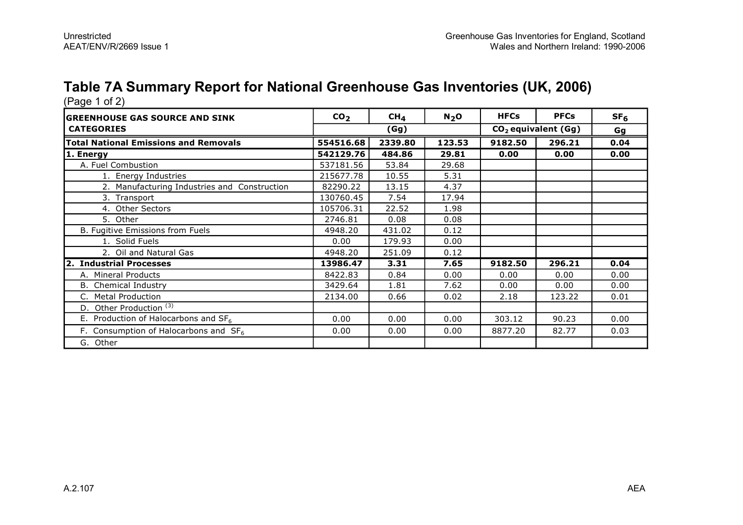# **Table 7A Summary Report for National Greenhouse Gas Inventories (UK, 2006)**

| (Page 1 of 2)<br><b>GREENHOUSE GAS SOURCE AND SINK</b> | CO <sub>2</sub> | CH <sub>4</sub> | $N_2$ O | <b>HFCs</b>           | <b>PFCs</b> | SF <sub>6</sub> |
|--------------------------------------------------------|-----------------|-----------------|---------|-----------------------|-------------|-----------------|
| <b>CATEGORIES</b>                                      | (Gg)            |                 |         | $CO2$ equivalent (Gg) |             | Gg              |
| <b>Total National Emissions and Removals</b>           | 554516.68       | 2339.80         | 123.53  | 9182.50               | 296.21      | 0.04            |
| 1. Energy                                              | 542129.76       | 484.86          | 29.81   | 0.00                  | 0.00        | 0.00            |
| A. Fuel Combustion                                     | 537181.56       | 53.84           | 29.68   |                       |             |                 |
| 1. Energy Industries                                   | 215677.78       | 10.55           | 5.31    |                       |             |                 |
| 2. Manufacturing Industries and Construction           | 82290.22        | 13.15           | 4.37    |                       |             |                 |
| 3. Transport                                           | 130760.45       | 7.54            | 17.94   |                       |             |                 |
| 4. Other Sectors                                       | 105706.31       | 22.52           | 1.98    |                       |             |                 |
| 5. Other                                               | 2746.81         | 0.08            | 0.08    |                       |             |                 |
| B. Fugitive Emissions from Fuels                       | 4948.20         | 431.02          | 0.12    |                       |             |                 |
| 1. Solid Fuels                                         | 0.00            | 179.93          | 0.00    |                       |             |                 |
| 2. Oil and Natural Gas                                 | 4948.20         | 251.09          | 0.12    |                       |             |                 |
| 2. Industrial Processes                                | 13986.47        | 3.31            | 7.65    | 9182.50               | 296.21      | 0.04            |
| A. Mineral Products                                    | 8422.83         | 0.84            | 0.00    | 0.00                  | 0.00        | 0.00            |
| <b>B.</b> Chemical Industry                            | 3429.64         | 1.81            | 7.62    | 0.00                  | 0.00        | 0.00            |
| C. Metal Production                                    | 2134.00         | 0.66            | 0.02    | 2.18                  | 123.22      | 0.01            |
| D. Other Production <sup>(3)</sup>                     |                 |                 |         |                       |             |                 |
| E. Production of Halocarbons and SF <sub>6</sub>       | 0.00            | 0.00            | 0.00    | 303.12                | 90.23       | 0.00            |
| F. Consumption of Halocarbons and $SF6$                | 0.00            | 0.00            | 0.00    | 8877.20               | 82.77       | 0.03            |
| G. Other                                               |                 |                 |         |                       |             |                 |